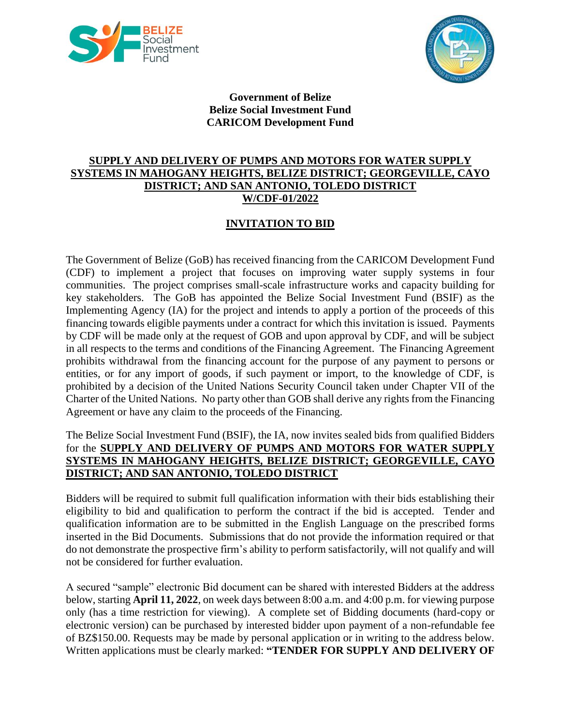



**Government of Belize Belize Social Investment Fund CARICOM Development Fund**

## **SUPPLY AND DELIVERY OF PUMPS AND MOTORS FOR WATER SUPPLY SYSTEMS IN MAHOGANY HEIGHTS, BELIZE DISTRICT; GEORGEVILLE, CAYO DISTRICT; AND SAN ANTONIO, TOLEDO DISTRICT W/CDF-01/2022**

## **INVITATION TO BID**

The Government of Belize (GoB) has received financing from the CARICOM Development Fund (CDF) to implement a project that focuses on improving water supply systems in four communities. The project comprises small-scale infrastructure works and capacity building for key stakeholders. The GoB has appointed the Belize Social Investment Fund (BSIF) as the Implementing Agency (IA) for the project and intends to apply a portion of the proceeds of this financing towards eligible payments under a contract for which this invitation is issued. Payments by CDF will be made only at the request of GOB and upon approval by CDF, and will be subject in all respects to the terms and conditions of the Financing Agreement. The Financing Agreement prohibits withdrawal from the financing account for the purpose of any payment to persons or entities, or for any import of goods, if such payment or import, to the knowledge of CDF, is prohibited by a decision of the United Nations Security Council taken under Chapter VII of the Charter of the United Nations. No party other than GOB shall derive any rights from the Financing Agreement or have any claim to the proceeds of the Financing.

## The Belize Social Investment Fund (BSIF), the IA, now invites sealed bids from qualified Bidders for the **SUPPLY AND DELIVERY OF PUMPS AND MOTORS FOR WATER SUPPLY SYSTEMS IN MAHOGANY HEIGHTS, BELIZE DISTRICT; GEORGEVILLE, CAYO DISTRICT; AND SAN ANTONIO, TOLEDO DISTRICT**

Bidders will be required to submit full qualification information with their bids establishing their eligibility to bid and qualification to perform the contract if the bid is accepted. Tender and qualification information are to be submitted in the English Language on the prescribed forms inserted in the Bid Documents. Submissions that do not provide the information required or that do not demonstrate the prospective firm's ability to perform satisfactorily, will not qualify and will not be considered for further evaluation.

A secured "sample" electronic Bid document can be shared with interested Bidders at the address below, starting **April 11, 2022**, on week days between 8:00 a.m. and 4:00 p.m. for viewing purpose only (has a time restriction for viewing). A complete set of Bidding documents (hard-copy or electronic version) can be purchased by interested bidder upon payment of a non-refundable fee of BZ\$150.00. Requests may be made by personal application or in writing to the address below. Written applications must be clearly marked: **"TENDER FOR SUPPLY AND DELIVERY OF**